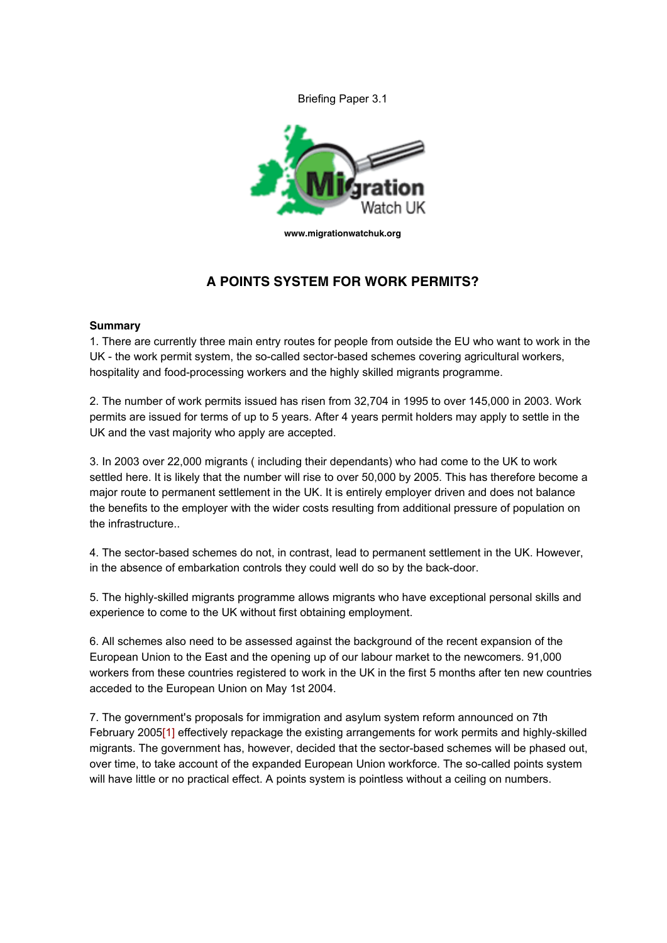Briefing Paper 3.1



**www.migrationwatchuk.org**

# **A POINTS SYSTEM FOR WORK PERMITS?**

#### **Summary**

1. There are currently three main entry routes for people from outside the EU who want to work in the UK - the work permit system, the so-called sector-based schemes covering agricultural workers, hospitality and food-processing workers and the highly skilled migrants programme.

2. The number of work permits issued has risen from 32,704 in 1995 to over 145,000 in 2003. Work permits are issued for terms of up to 5 years. After 4 years permit holders may apply to settle in the UK and the vast majority who apply are accepted.

3. In 2003 over 22,000 migrants ( including their dependants) who had come to the UK to work settled here. It is likely that the number will rise to over 50,000 by 2005. This has therefore become a major route to permanent settlement in the UK. It is entirely employer driven and does not balance the benefits to the employer with the wider costs resulting from additional pressure of population on the infrastructure..

4. The sector-based schemes do not, in contrast, lead to permanent settlement in the UK. However, in the absence of embarkation controls they could well do so by the back-door.

5. The highly-skilled migrants programme allows migrants who have exceptional personal skills and experience to come to the UK without first obtaining employment.

6. All schemes also need to be assessed against the background of the recent expansion of the European Union to the East and the opening up of our labour market to the newcomers. 91,000 workers from these countries registered to work in the UK in the first 5 months after ten new countries acceded to the European Union on May 1st 2004.

7. The government's proposals for immigration and asylum system reform announced on 7th February 2005[1] effectively repackage the existing arrangements for work permits and highly-skilled migrants. The government has, however, decided that the sector-based schemes will be phased out, over time, to take account of the expanded European Union workforce. The so-called points system will have little or no practical effect. A points system is pointless without a ceiling on numbers.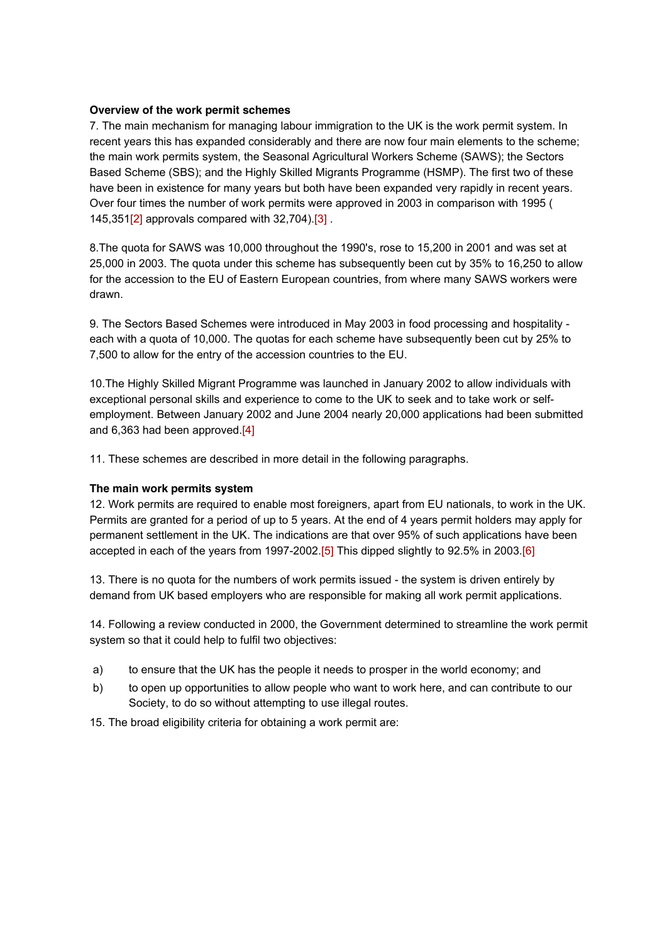#### **Overview of the work permit schemes**

7. The main mechanism for managing labour immigration to the UK is the work permit system. In recent years this has expanded considerably and there are now four main elements to the scheme; the main work permits system, the Seasonal Agricultural Workers Scheme (SAWS); the Sectors Based Scheme (SBS); and the Highly Skilled Migrants Programme (HSMP). The first two of these have been in existence for many years but both have been expanded very rapidly in recent years. Over four times the number of work permits were approved in 2003 in comparison with 1995 ( 145,351[2] approvals compared with 32,704).[3] .

8.The quota for SAWS was 10,000 throughout the 1990's, rose to 15,200 in 2001 and was set at 25,000 in 2003. The quota under this scheme has subsequently been cut by 35% to 16,250 to allow for the accession to the EU of Eastern European countries, from where many SAWS workers were drawn.

9. The Sectors Based Schemes were introduced in May 2003 in food processing and hospitality each with a quota of 10,000. The quotas for each scheme have subsequently been cut by 25% to 7,500 to allow for the entry of the accession countries to the EU.

10.The Highly Skilled Migrant Programme was launched in January 2002 to allow individuals with exceptional personal skills and experience to come to the UK to seek and to take work or selfemployment. Between January 2002 and June 2004 nearly 20,000 applications had been submitted and 6,363 had been approved.[4]

11. These schemes are described in more detail in the following paragraphs.

### **The main work permits system**

12. Work permits are required to enable most foreigners, apart from EU nationals, to work in the UK. Permits are granted for a period of up to 5 years. At the end of 4 years permit holders may apply for permanent settlement in the UK. The indications are that over 95% of such applications have been accepted in each of the years from 1997-2002.[5] This dipped slightly to 92.5% in 2003.[6]

13. There is no quota for the numbers of work permits issued - the system is driven entirely by demand from UK based employers who are responsible for making all work permit applications.

14. Following a review conducted in 2000, the Government determined to streamline the work permit system so that it could help to fulfil two objectives:

- a) to ensure that the UK has the people it needs to prosper in the world economy; and
- b) to open up opportunities to allow people who want to work here, and can contribute to our Society, to do so without attempting to use illegal routes.
- 15. The broad eligibility criteria for obtaining a work permit are: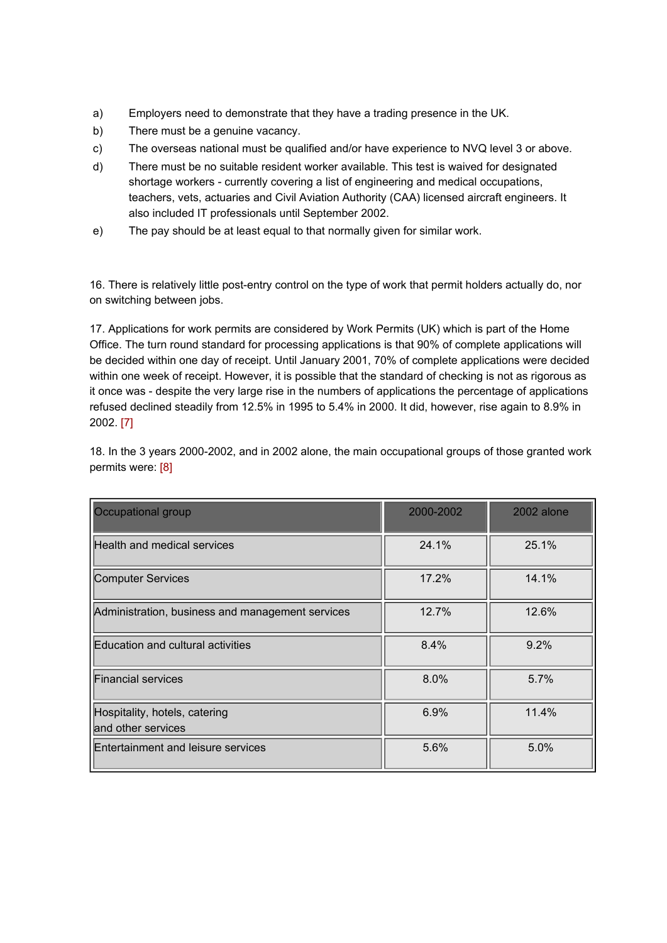- a) Employers need to demonstrate that they have a trading presence in the UK.
- b) There must be a genuine vacancy.
- c) The overseas national must be qualified and/or have experience to NVQ level 3 or above.
- d) There must be no suitable resident worker available. This test is waived for designated shortage workers - currently covering a list of engineering and medical occupations, teachers, vets, actuaries and Civil Aviation Authority (CAA) licensed aircraft engineers. It also included IT professionals until September 2002.
- e) The pay should be at least equal to that normally given for similar work.

16. There is relatively little post-entry control on the type of work that permit holders actually do, nor on switching between jobs.

17. Applications for work permits are considered by Work Permits (UK) which is part of the Home Office. The turn round standard for processing applications is that 90% of complete applications will be decided within one day of receipt. Until January 2001, 70% of complete applications were decided within one week of receipt. However, it is possible that the standard of checking is not as rigorous as it once was - despite the very large rise in the numbers of applications the percentage of applications refused declined steadily from 12.5% in 1995 to 5.4% in 2000. It did, however, rise again to 8.9% in 2002. [7]

| Occupational group                                  | 2000-2002 | 2002 alone |
|-----------------------------------------------------|-----------|------------|
| Health and medical services                         | 24.1%     | 25.1%      |
| Computer Services                                   | 17.2%     | 14.1%      |
| Administration, business and management services    | 12.7%     | 12.6%      |
| Education and cultural activities                   | 8.4%      | 9.2%       |
| <b>Financial services</b>                           | $8.0\%$   | 5.7%       |
| Hospitality, hotels, catering<br>and other services | 6.9%      | 11.4%      |
| Entertainment and leisure services                  | 5.6%      | 5.0%       |

18. In the 3 years 2000-2002, and in 2002 alone, the main occupational groups of those granted work permits were: [8]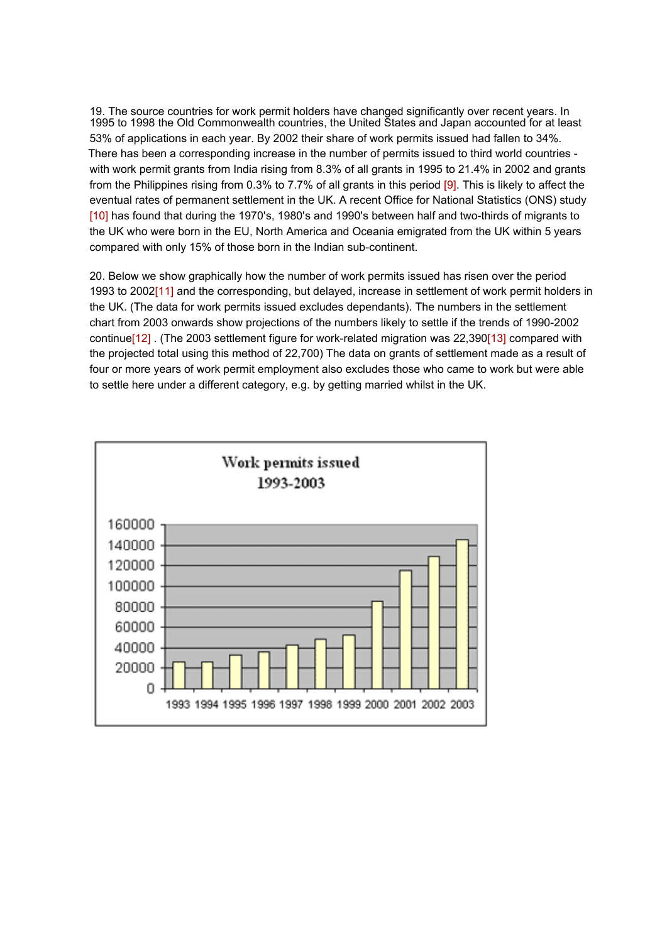19. The source countries for work permit holders have changed significantly over recent years. In 1995 to 1998 the Old Commonwealth countries, the United States and Japan accounted for at least 53% of applications in each year. By 2002 their share of work permits issued had fallen to 34%. There has been a corresponding increase in the number of permits issued to third world countries with work permit grants from India rising from 8.3% of all grants in 1995 to 21.4% in 2002 and grants from the Philippines rising from 0.3% to 7.7% of all grants in this period [9]. This is likely to affect the eventual rates of permanent settlement in the UK. A recent Office for National Statistics (ONS) study [10] has found that during the 1970's, 1980's and 1990's between half and two-thirds of migrants to the UK who were born in the EU, North America and Oceania emigrated from the UK within 5 years compared with only 15% of those born in the Indian sub-continent.

20. Below we show graphically how the number of work permits issued has risen over the period 1993 to 2002[11] and the corresponding, but delayed, increase in settlement of work permit holders in the UK. (The data for work permits issued excludes dependants). The numbers in the settlement chart from 2003 onwards show projections of the numbers likely to settle if the trends of 1990-2002 continue[12]. (The 2003 settlement figure for work-related migration was 22,390[13] compared with the projected total using this method of 22,700) The data on grants of settlement made as a result of four or more years of work permit employment also excludes those who came to work but were able to settle here under a different category, e.g. by getting married whilst in the UK.

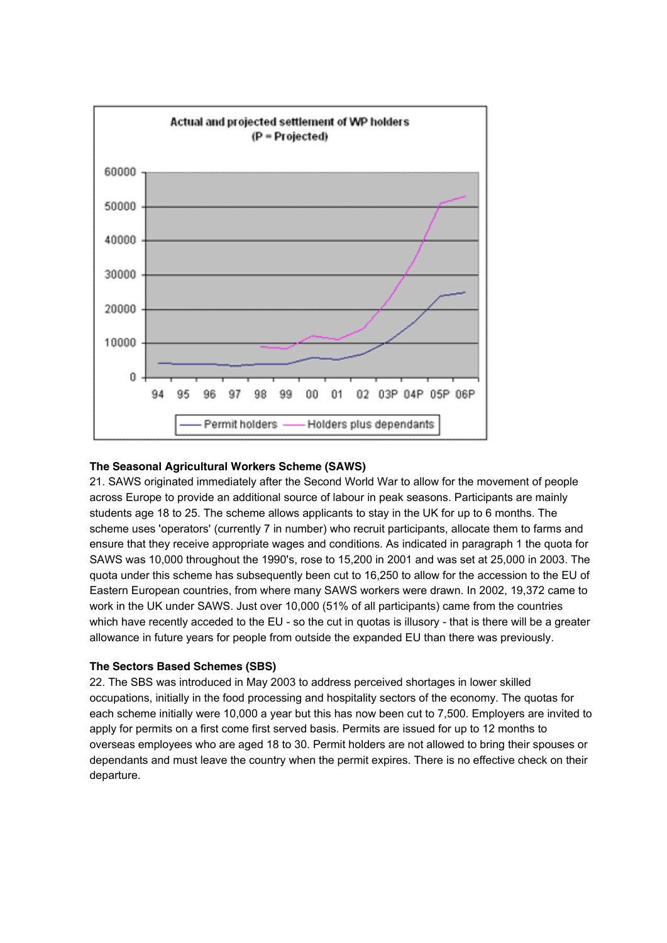

#### **The Seasonal Agricultural Workers Scheme (SAWS)**

21. SAWS originated immediately after the Second World War to allow for the movement of people across Europe to provide an additional source of labour in peak seasons. Participants are mainly students age 18 to 25. The scheme allows applicants to stay in the UK for up to 6 months. The scheme uses 'operators' (currently 7 in number) who recruit participants, allocate them to farms and ensure that they receive appropriate wages and conditions. As indicated in paragraph 1 the quota for SAWS was 10,000 throughout the 1990's, rose to 15,200 in 2001 and was set at 25,000 in 2003. The quota under this scheme has subsequently been cut to 16,250 to allow for the accession to the EU of Eastern European countries, from where many SAWS workers were drawn. In 2002, 19,372 came to work in the UK under SAWS. Just over 10,000 (51% of all participants) came from the countries which have recently acceded to the EU - so the cut in quotas is illusory - that is there will be a greater allowance in future years for people from outside the expanded EU than there was previously.

#### **The Sectors Based Schemes (SBS)**

22. The SBS was introduced in May 2003 to address perceived shortages in lower skilled occupations, initially in the food processing and hospitality sectors of the economy. The quotas for each scheme initially were 10,000 a year but this has now been cut to 7,500. Employers are invited to apply for permits on a first come first served basis. Permits are issued for up to 12 months to overseas employees who are aged 18 to 30. Permit holders are not allowed to bring their spouses or dependants and must leave the country when the permit expires. There is no effective check on their departure.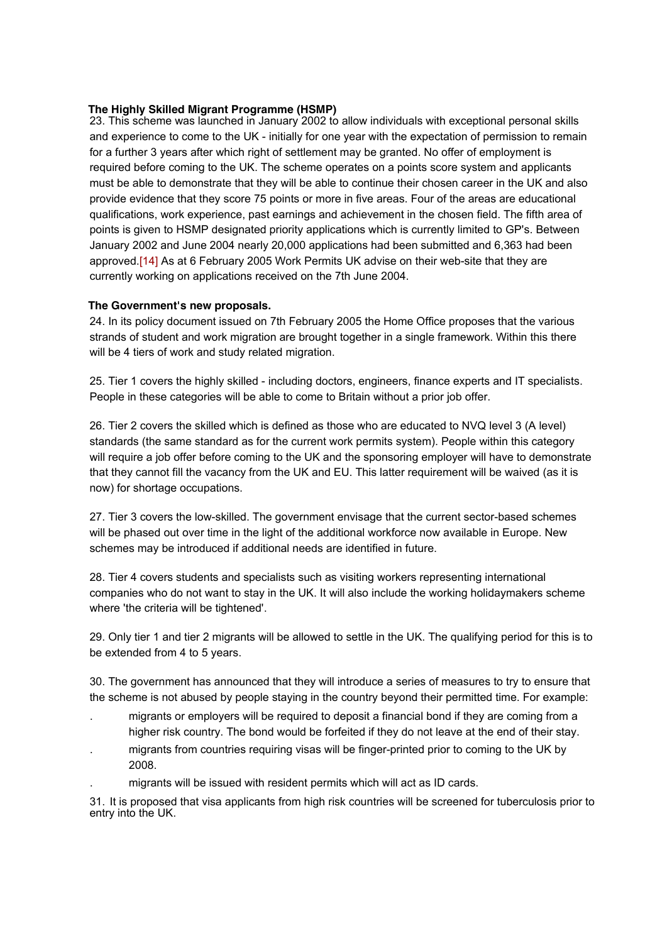## **The Highly Skilled Migrant Programme (HSMP)**

23. This scheme was launched in January 2002 to allow individuals with exceptional personal skills and experience to come to the UK - initially for one year with the expectation of permission to remain for a further 3 years after which right of settlement may be granted. No offer of employment is required before coming to the UK. The scheme operates on a points score system and applicants must be able to demonstrate that they will be able to continue their chosen career in the UK and also provide evidence that they score 75 points or more in five areas. Four of the areas are educational qualifications, work experience, past earnings and achievement in the chosen field. The fifth area of points is given to HSMP designated priority applications which is currently limited to GP's. Between January 2002 and June 2004 nearly 20,000 applications had been submitted and 6,363 had been approved.[14] As at 6 February 2005 Work Permits UK advise on their web-site that they are currently working on applications received on the 7th June 2004.

# **The Government's new proposals.**

24. In its policy document issued on 7th February 2005 the Home Office proposes that the various strands of student and work migration are brought together in a single framework. Within this there will be 4 tiers of work and study related migration.

25. Tier 1 covers the highly skilled - including doctors, engineers, finance experts and IT specialists. People in these categories will be able to come to Britain without a prior job offer.

26. Tier 2 covers the skilled which is defined as those who are educated to NVQ level 3 (A level) standards (the same standard as for the current work permits system). People within this category will require a job offer before coming to the UK and the sponsoring employer will have to demonstrate that they cannot fill the vacancy from the UK and EU. This latter requirement will be waived (as it is now) for shortage occupations.

27. Tier 3 covers the low-skilled. The government envisage that the current sector-based schemes will be phased out over time in the light of the additional workforce now available in Europe. New schemes may be introduced if additional needs are identified in future.

28. Tier 4 covers students and specialists such as visiting workers representing international companies who do not want to stay in the UK. It will also include the working holidaymakers scheme where 'the criteria will be tightened'.

29. Only tier 1 and tier 2 migrants will be allowed to settle in the UK. The qualifying period for this is to be extended from 4 to 5 years.

30. The government has announced that they will introduce a series of measures to try to ensure that the scheme is not abused by people staying in the country beyond their permitted time. For example:

- . migrants or employers will be required to deposit a financial bond if they are coming from a higher risk country. The bond would be forfeited if they do not leave at the end of their stay.
- . migrants from countries requiring visas will be finger-printed prior to coming to the UK by 2008.
- . migrants will be issued with resident permits which will act as ID cards.

31. It is proposed that visa applicants from high risk countries will be screened for tuberculosis prior to entry into the UK.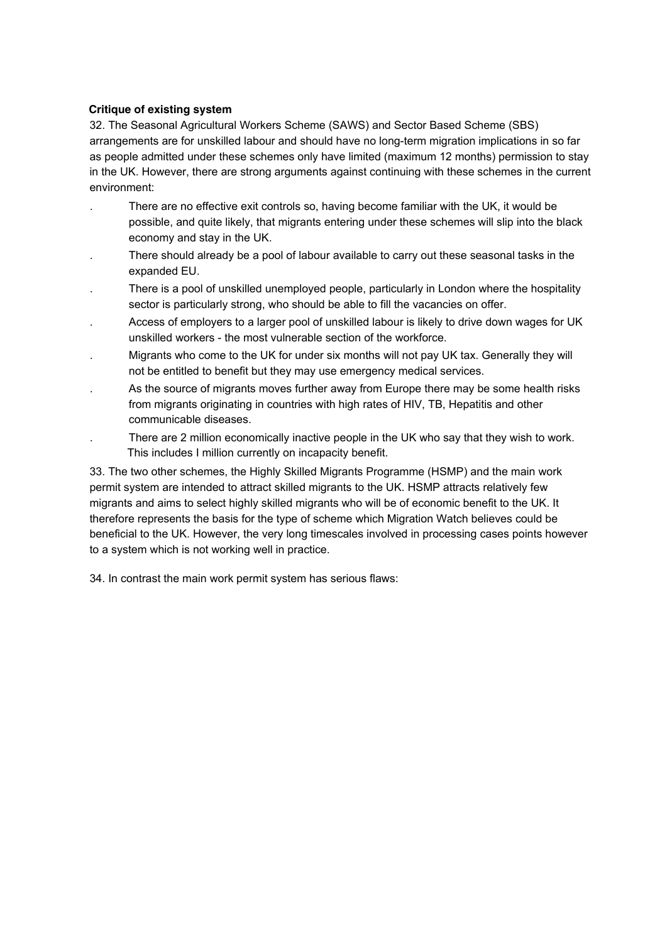## **Critique of existing system**

32. The Seasonal Agricultural Workers Scheme (SAWS) and Sector Based Scheme (SBS) arrangements are for unskilled labour and should have no long-term migration implications in so far as people admitted under these schemes only have limited (maximum 12 months) permission to stay in the UK. However, there are strong arguments against continuing with these schemes in the current environment:

- . There are no effective exit controls so, having become familiar with the UK, it would be possible, and quite likely, that migrants entering under these schemes will slip into the black economy and stay in the UK.
- . There should already be a pool of labour available to carry out these seasonal tasks in the expanded EU.
- . There is a pool of unskilled unemployed people, particularly in London where the hospitality sector is particularly strong, who should be able to fill the vacancies on offer.
- . Access of employers to a larger pool of unskilled labour is likely to drive down wages for UK unskilled workers - the most vulnerable section of the workforce.
- . Migrants who come to the UK for under six months will not pay UK tax. Generally they will not be entitled to benefit but they may use emergency medical services.
- . As the source of migrants moves further away from Europe there may be some health risks from migrants originating in countries with high rates of HIV, TB, Hepatitis and other communicable diseases.
- . There are 2 million economically inactive people in the UK who say that they wish to work. This includes I million currently on incapacity benefit.

33. The two other schemes, the Highly Skilled Migrants Programme (HSMP) and the main work permit system are intended to attract skilled migrants to the UK. HSMP attracts relatively few migrants and aims to select highly skilled migrants who will be of economic benefit to the UK. It therefore represents the basis for the type of scheme which Migration Watch believes could be beneficial to the UK. However, the very long timescales involved in processing cases points however to a system which is not working well in practice.

34. In contrast the main work permit system has serious flaws: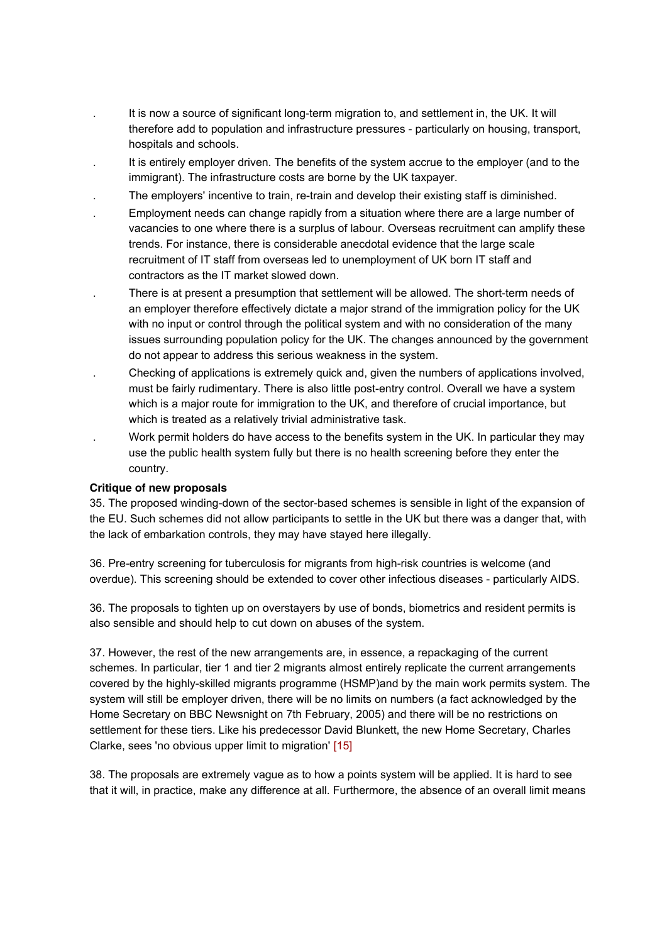- . It is now a source of significant long-term migration to, and settlement in, the UK. It will therefore add to population and infrastructure pressures - particularly on housing, transport, hospitals and schools.
- . It is entirely employer driven. The benefits of the system accrue to the employer (and to the immigrant). The infrastructure costs are borne by the UK taxpayer.
- . The employers' incentive to train, re-train and develop their existing staff is diminished.
- . Employment needs can change rapidly from a situation where there are a large number of vacancies to one where there is a surplus of labour. Overseas recruitment can amplify these trends. For instance, there is considerable anecdotal evidence that the large scale recruitment of IT staff from overseas led to unemployment of UK born IT staff and contractors as the IT market slowed down.
- There is at present a presumption that settlement will be allowed. The short-term needs of an employer therefore effectively dictate a major strand of the immigration policy for the UK with no input or control through the political system and with no consideration of the many issues surrounding population policy for the UK. The changes announced by the government do not appear to address this serious weakness in the system.
- . Checking of applications is extremely quick and, given the numbers of applications involved, must be fairly rudimentary. There is also little post-entry control. Overall we have a system which is a major route for immigration to the UK, and therefore of crucial importance, but which is treated as a relatively trivial administrative task.
- . Work permit holders do have access to the benefits system in the UK. In particular they may use the public health system fully but there is no health screening before they enter the country.

### **Critique of new proposals**

35. The proposed winding-down of the sector-based schemes is sensible in light of the expansion of the EU. Such schemes did not allow participants to settle in the UK but there was a danger that, with the lack of embarkation controls, they may have stayed here illegally.

36. Pre-entry screening for tuberculosis for migrants from high-risk countries is welcome (and overdue). This screening should be extended to cover other infectious diseases - particularly AIDS.

36. The proposals to tighten up on overstayers by use of bonds, biometrics and resident permits is also sensible and should help to cut down on abuses of the system.

37. However, the rest of the new arrangements are, in essence, a repackaging of the current schemes. In particular, tier 1 and tier 2 migrants almost entirely replicate the current arrangements covered by the highly-skilled migrants programme (HSMP)and by the main work permits system. The system will still be employer driven, there will be no limits on numbers (a fact acknowledged by the Home Secretary on BBC Newsnight on 7th February, 2005) and there will be no restrictions on settlement for these tiers. Like his predecessor David Blunkett, the new Home Secretary, Charles Clarke, sees 'no obvious upper limit to migration' [15]

38. The proposals are extremely vague as to how a points system will be applied. It is hard to see that it will, in practice, make any difference at all. Furthermore, the absence of an overall limit means